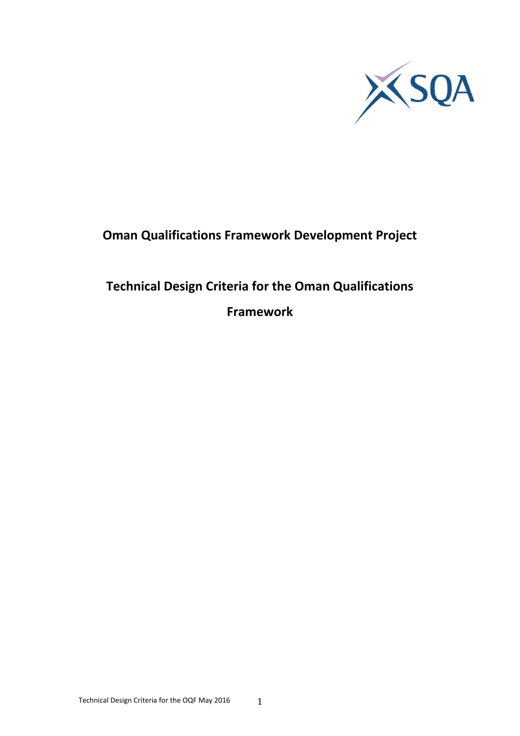

## **Oman Qualifications Framework Development Project**

# **Technical Design Criteria for the Oman Qualifications**

**Framework**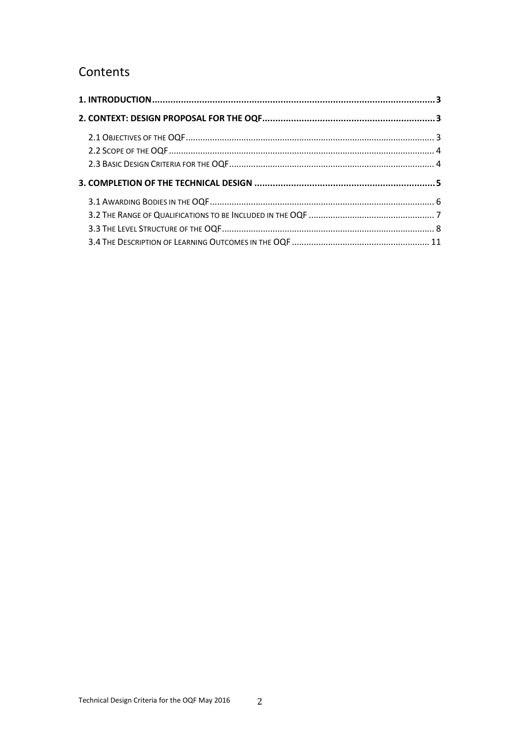## Contents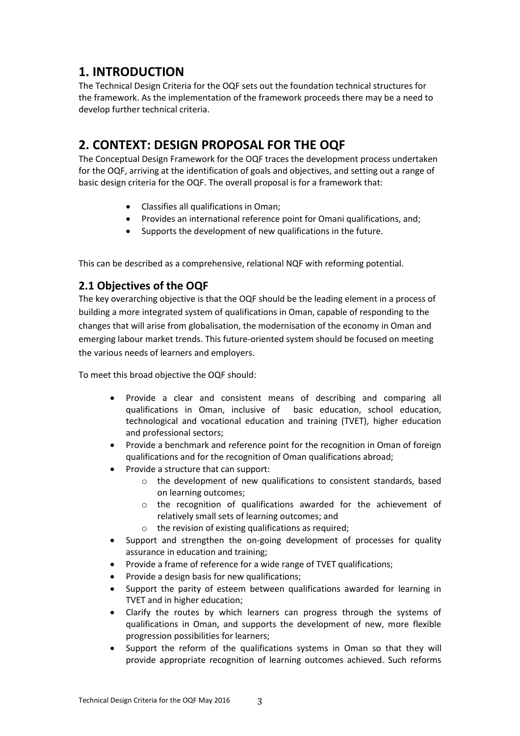## <span id="page-2-0"></span>**1. INTRODUCTION**

The Technical Design Criteria for the OQF sets out the foundation technical structures for the framework. As the implementation of the framework proceeds there may be a need to develop further technical criteria.

## <span id="page-2-1"></span>**2. CONTEXT: DESIGN PROPOSAL FOR THE OQF**

The Conceptual Design Framework for the OQF traces the development process undertaken for the OQF, arriving at the identification of goals and objectives, and setting out a range of basic design criteria for the OQF. The overall proposal is for a framework that:

- Classifies all qualifications in Oman;
- Provides an international reference point for Omani qualifications, and;
- Supports the development of new qualifications in the future.

This can be described as a comprehensive, relational NQF with reforming potential.

## <span id="page-2-2"></span>**2.1 Objectives of the OQF**

The key overarching objective is that the OQF should be the leading element in a process of building a more integrated system of qualifications in Oman, capable of responding to the changes that will arise from globalisation, the modernisation of the economy in Oman and emerging labour market trends. This future-oriented system should be focused on meeting the various needs of learners and employers.

To meet this broad objective the OQF should:

- Provide a clear and consistent means of describing and comparing all qualifications in Oman, inclusive of basic education, school education, technological and vocational education and training (TVET), higher education and professional sectors;
- Provide a benchmark and reference point for the recognition in Oman of foreign qualifications and for the recognition of Oman qualifications abroad;
- Provide a structure that can support:
	- o the development of new qualifications to consistent standards, based on learning outcomes;
	- o the recognition of qualifications awarded for the achievement of relatively small sets of learning outcomes; and
	- o the revision of existing qualifications as required;
- Support and strengthen the on-going development of processes for quality assurance in education and training;
- Provide a frame of reference for a wide range of TVET qualifications;
- Provide a design basis for new qualifications;
- Support the parity of esteem between qualifications awarded for learning in TVET and in higher education;
- Clarify the routes by which learners can progress through the systems of qualifications in Oman, and supports the development of new, more flexible progression possibilities for learners;
- Support the reform of the qualifications systems in Oman so that they will provide appropriate recognition of learning outcomes achieved. Such reforms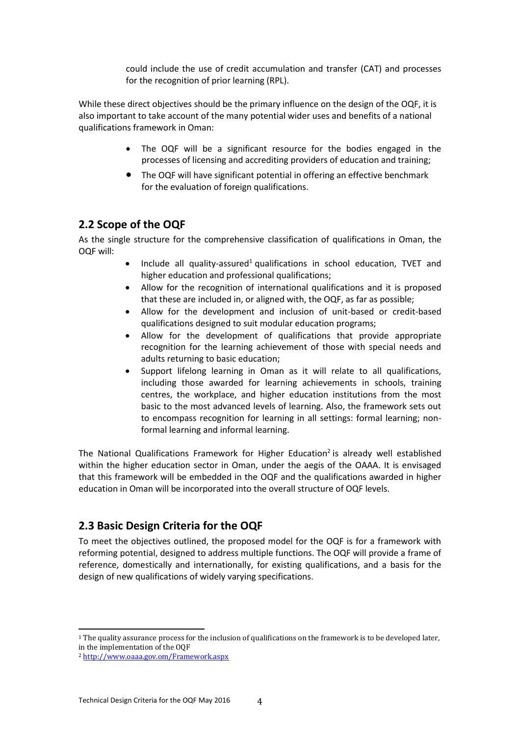could include the use of credit accumulation and transfer (CAT) and processes for the recognition of prior learning (RPL).

While these direct objectives should be the primary influence on the design of the OQF, it is also important to take account of the many potential wider uses and benefits of a national qualifications framework in Oman:

- The OQF will be a significant resource for the bodies engaged in the processes of licensing and accrediting providers of education and training;
- The OQF will have significant potential in offering an effective benchmark for the evaluation of foreign qualifications.

### <span id="page-3-0"></span>**2.2 Scope of the OQF**

As the single structure for the comprehensive classification of qualifications in Oman, the OQF will:

- Include all quality-assured<sup>1</sup> qualifications in school education, TVET and higher education and professional qualifications;
- Allow for the recognition of international qualifications and it is proposed that these are included in, or aligned with, the OQF, as far as possible;
- Allow for the development and inclusion of unit-based or credit-based qualifications designed to suit modular education programs;
- Allow for the development of qualifications that provide appropriate recognition for the learning achievement of those with special needs and adults returning to basic education;
- Support lifelong learning in Oman as it will relate to all qualifications, including those awarded for learning achievements in schools, training centres, the workplace, and higher education institutions from the most basic to the most advanced levels of learning. Also, the framework sets out to encompass recognition for learning in all settings: formal learning; nonformal learning and informal learning.

The National Qualifications Framework for Higher Education<sup>2</sup> is already well established within the higher education sector in Oman, under the aegis of the OAAA. It is envisaged that this framework will be embedded in the OQF and the qualifications awarded in higher education in Oman will be incorporated into the overall structure of OQF levels.

### <span id="page-3-1"></span>**2.3 Basic Design Criteria for the OQF**

To meet the objectives outlined, the proposed model for the OQF is for a framework with reforming potential, designed to address multiple functions. The OQF will provide a frame of reference, domestically and internationally, for existing qualifications, and a basis for the design of new qualifications of widely varying specifications.

l

<sup>1</sup> The quality assurance process for the inclusion of qualifications on the framework is to be developed later, in the implementation of the OQF

<sup>2</sup> <http://www.oaaa.gov.om/Framework.aspx>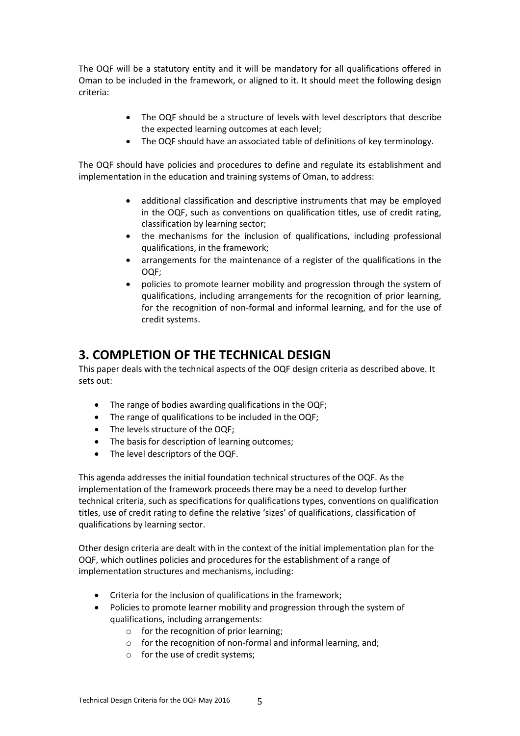The OQF will be a statutory entity and it will be mandatory for all qualifications offered in Oman to be included in the framework, or aligned to it. It should meet the following design criteria:

- The OQF should be a structure of levels with level descriptors that describe the expected learning outcomes at each level;
- The OQF should have an associated table of definitions of key terminology.

The OQF should have policies and procedures to define and regulate its establishment and implementation in the education and training systems of Oman, to address:

- additional classification and descriptive instruments that may be employed in the OQF, such as conventions on qualification titles, use of credit rating, classification by learning sector;
- the mechanisms for the inclusion of qualifications, including professional qualifications, in the framework;
- arrangements for the maintenance of a register of the qualifications in the OQF;
- policies to promote learner mobility and progression through the system of qualifications, including arrangements for the recognition of prior learning, for the recognition of non-formal and informal learning, and for the use of credit systems.

## <span id="page-4-0"></span>**3. COMPLETION OF THE TECHNICAL DESIGN**

This paper deals with the technical aspects of the OQF design criteria as described above. It sets out:

- The range of bodies awarding qualifications in the OQF;
- The range of qualifications to be included in the OQF;
- The levels structure of the OQF;
- The basis for description of learning outcomes;
- The level descriptors of the OQF.

This agenda addresses the initial foundation technical structures of the OQF. As the implementation of the framework proceeds there may be a need to develop further technical criteria, such as specifications for qualifications types, conventions on qualification titles, use of credit rating to define the relative 'sizes' of qualifications, classification of qualifications by learning sector.

Other design criteria are dealt with in the context of the initial implementation plan for the OQF, which outlines policies and procedures for the establishment of a range of implementation structures and mechanisms, including:

- Criteria for the inclusion of qualifications in the framework;
- Policies to promote learner mobility and progression through the system of qualifications, including arrangements:
	- o for the recognition of prior learning;
	- o for the recognition of non-formal and informal learning, and;
	- o for the use of credit systems;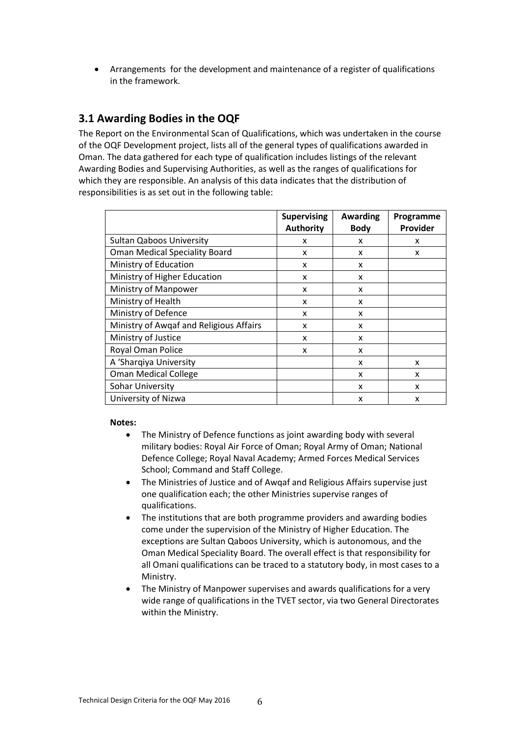Arrangements for the development and maintenance of a register of qualifications in the framework.

### <span id="page-5-0"></span>**3.1 Awarding Bodies in the OQF**

The Report on the Environmental Scan of Qualifications, which was undertaken in the course of the OQF Development project, lists all of the general types of qualifications awarded in Oman. The data gathered for each type of qualification includes listings of the relevant Awarding Bodies and Supervising Authorities, as well as the ranges of qualifications for which they are responsible. An analysis of this data indicates that the distribution of responsibilities is as set out in the following table:

|                                         | <b>Supervising</b><br><b>Authority</b> | Awarding<br><b>Body</b> | Programme<br>Provider |
|-----------------------------------------|----------------------------------------|-------------------------|-----------------------|
| <b>Sultan Qaboos University</b>         | x                                      | x                       | x                     |
| <b>Oman Medical Speciality Board</b>    | X                                      | x                       | x                     |
| Ministry of Education                   | x                                      | X                       |                       |
| Ministry of Higher Education            | x                                      | X                       |                       |
| Ministry of Manpower                    | X                                      | X                       |                       |
| Ministry of Health                      | x                                      | X                       |                       |
| Ministry of Defence                     | x                                      | X                       |                       |
| Ministry of Awqaf and Religious Affairs | x                                      | X                       |                       |
| Ministry of Justice                     | X                                      | X                       |                       |
| Royal Oman Police                       | x                                      | X                       |                       |
| A 'Sharqiya University                  |                                        | X                       | X                     |
| <b>Oman Medical College</b>             |                                        | x                       | x                     |
| Sohar University                        |                                        | X                       | x                     |
| University of Nizwa                     |                                        | X                       | x                     |

#### **Notes:**

- The Ministry of Defence functions as joint awarding body with several military bodies: Royal Air Force of Oman; Royal Army of Oman; National Defence College; Royal Naval Academy; Armed Forces Medical Services School; Command and Staff College.
- The Ministries of Justice and of Awqaf and Religious Affairs supervise just one qualification each; the other Ministries supervise ranges of qualifications.
- The institutions that are both programme providers and awarding bodies come under the supervision of the Ministry of Higher Education. The exceptions are Sultan Qaboos University, which is autonomous, and the Oman Medical Speciality Board. The overall effect is that responsibility for all Omani qualifications can be traced to a statutory body, in most cases to a Ministry.
- The Ministry of Manpower supervises and awards qualifications for a very wide range of qualifications in the TVET sector, via two General Directorates within the Ministry.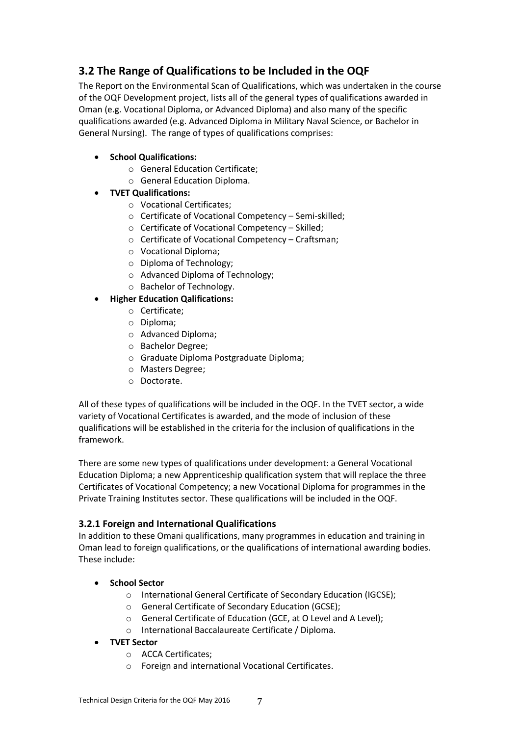## <span id="page-6-0"></span>**3.2 The Range of Qualifications to be Included in the OQF**

The Report on the Environmental Scan of Qualifications, which was undertaken in the course of the OQF Development project, lists all of the general types of qualifications awarded in Oman (e.g. Vocational Diploma, or Advanced Diploma) and also many of the specific qualifications awarded (e.g. Advanced Diploma in Military Naval Science, or Bachelor in General Nursing). The range of types of qualifications comprises:

- **School Qualifications:**
	- o General Education Certificate;
	- o General Education Diploma.
- **TVET Qualifications:**
	- o Vocational Certificates;
	- o Certificate of Vocational Competency Semi-skilled;
	- o Certificate of Vocational Competency Skilled;
	- o Certificate of Vocational Competency Craftsman;
	- o Vocational Diploma;
	- o Diploma of Technology;
	- o Advanced Diploma of Technology;
	- o Bachelor of Technology.
- **Higher Education Qalifications:**
	- o Certificate;
	- o Diploma;
	- o Advanced Diploma;
	- o Bachelor Degree;
	- o Graduate Diploma Postgraduate Diploma;
	- o Masters Degree;
	- o Doctorate.

All of these types of qualifications will be included in the OQF. In the TVET sector, a wide variety of Vocational Certificates is awarded, and the mode of inclusion of these qualifications will be established in the criteria for the inclusion of qualifications in the framework.

There are some new types of qualifications under development: a General Vocational Education Diploma; a new Apprenticeship qualification system that will replace the three Certificates of Vocational Competency; a new Vocational Diploma for programmes in the Private Training Institutes sector. These qualifications will be included in the OQF.

### **3.2.1 Foreign and International Qualifications**

In addition to these Omani qualifications, many programmes in education and training in Oman lead to foreign qualifications, or the qualifications of international awarding bodies. These include:

- **School Sector**
	- o International General Certificate of Secondary Education (IGCSE);
	- o General Certificate of Secondary Education (GCSE);
	- o General Certificate of Education (GCE, at O Level and A Level);
	- o International Baccalaureate Certificate / Diploma.
- **TVET Sector**
	- o ACCA Certificates;
	- o Foreign and international Vocational Certificates.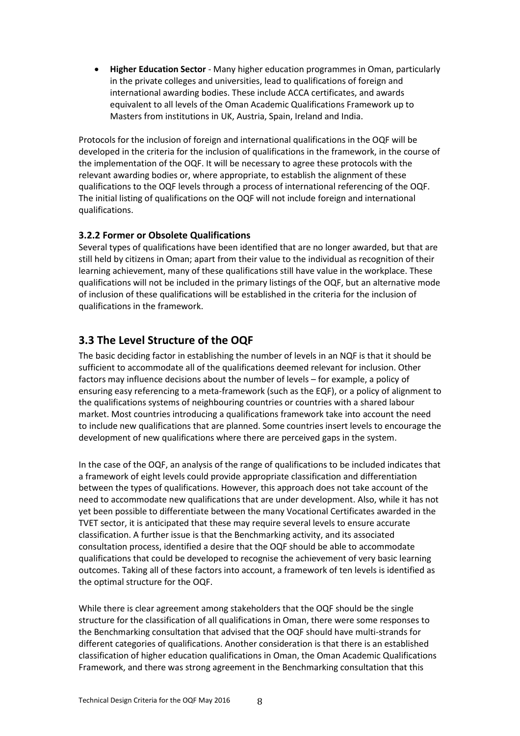**Higher Education Sector** - Many higher education programmes in Oman, particularly in the private colleges and universities, lead to qualifications of foreign and international awarding bodies. These include ACCA certificates, and awards equivalent to all levels of the Oman Academic Qualifications Framework up to Masters from institutions in UK, Austria, Spain, Ireland and India.

Protocols for the inclusion of foreign and international qualifications in the OQF will be developed in the criteria for the inclusion of qualifications in the framework, in the course of the implementation of the OQF. It will be necessary to agree these protocols with the relevant awarding bodies or, where appropriate, to establish the alignment of these qualifications to the OQF levels through a process of international referencing of the OQF. The initial listing of qualifications on the OQF will not include foreign and international qualifications.

### **3.2.2 Former or Obsolete Qualifications**

Several types of qualifications have been identified that are no longer awarded, but that are still held by citizens in Oman; apart from their value to the individual as recognition of their learning achievement, many of these qualifications still have value in the workplace. These qualifications will not be included in the primary listings of the OQF, but an alternative mode of inclusion of these qualifications will be established in the criteria for the inclusion of qualifications in the framework.

## <span id="page-7-0"></span>**3.3 The Level Structure of the OQF**

The basic deciding factor in establishing the number of levels in an NQF is that it should be sufficient to accommodate all of the qualifications deemed relevant for inclusion. Other factors may influence decisions about the number of levels – for example, a policy of ensuring easy referencing to a meta-framework (such as the EQF), or a policy of alignment to the qualifications systems of neighbouring countries or countries with a shared labour market. Most countries introducing a qualifications framework take into account the need to include new qualifications that are planned. Some countries insert levels to encourage the development of new qualifications where there are perceived gaps in the system.

In the case of the OQF, an analysis of the range of qualifications to be included indicates that a framework of eight levels could provide appropriate classification and differentiation between the types of qualifications. However, this approach does not take account of the need to accommodate new qualifications that are under development. Also, while it has not yet been possible to differentiate between the many Vocational Certificates awarded in the TVET sector, it is anticipated that these may require several levels to ensure accurate classification. A further issue is that the Benchmarking activity, and its associated consultation process, identified a desire that the OQF should be able to accommodate qualifications that could be developed to recognise the achievement of very basic learning outcomes. Taking all of these factors into account, a framework of ten levels is identified as the optimal structure for the OQF.

While there is clear agreement among stakeholders that the OQF should be the single structure for the classification of all qualifications in Oman, there were some responses to the Benchmarking consultation that advised that the OQF should have multi-strands for different categories of qualifications. Another consideration is that there is an established classification of higher education qualifications in Oman, the Oman Academic Qualifications Framework, and there was strong agreement in the Benchmarking consultation that this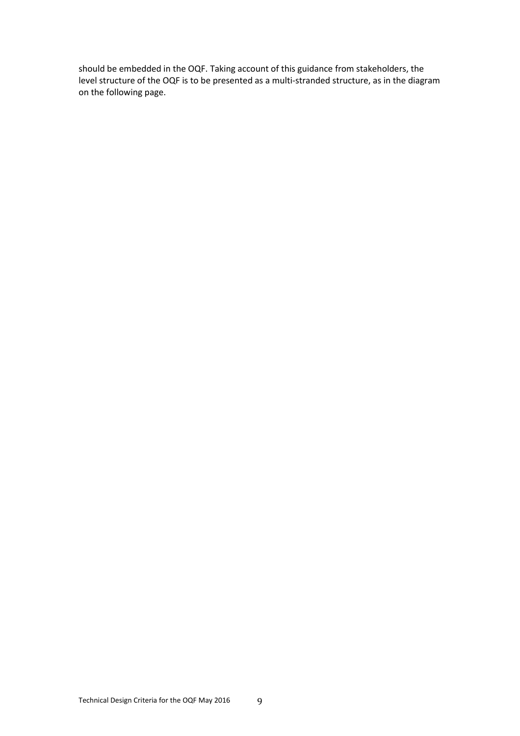should be embedded in the OQF. Taking account of this guidance from stakeholders, the level structure of the OQF is to be presented as a multi-stranded structure, as in the diagram on the following page.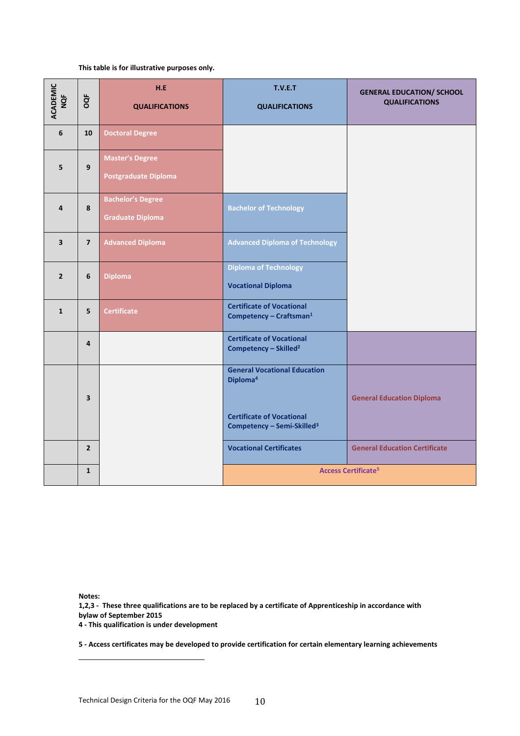#### **This table is for illustrative purposes only.**

| ACADEMIC<br>NQF         | OQF                     | H.E<br><b>QUALIFICATIONS</b>                          | T.V.E.T<br><b>QUALIFICATIONS</b>                                                                                                          | <b>GENERAL EDUCATION/ SCHOOL</b><br><b>QUALIFICATIONS</b> |
|-------------------------|-------------------------|-------------------------------------------------------|-------------------------------------------------------------------------------------------------------------------------------------------|-----------------------------------------------------------|
| 6                       | 10                      | <b>Doctoral Degree</b>                                |                                                                                                                                           |                                                           |
| 5                       | $\mathbf{9}$            | <b>Master's Degree</b><br><b>Postgraduate Diploma</b> |                                                                                                                                           |                                                           |
| 4                       | 8                       | <b>Bachelor's Degree</b><br><b>Graduate Diploma</b>   | <b>Bachelor of Technology</b>                                                                                                             |                                                           |
| $\overline{\mathbf{3}}$ | $\overline{7}$          | <b>Advanced Diploma</b>                               | <b>Advanced Diploma of Technology</b>                                                                                                     |                                                           |
| $\overline{2}$          | 6                       | <b>Diploma</b>                                        | <b>Diploma of Technology</b><br><b>Vocational Diploma</b>                                                                                 |                                                           |
| $\mathbf{1}$            | 5                       | <b>Certificate</b>                                    | <b>Certificate of Vocational</b><br>Competency - Craftsman <sup>1</sup>                                                                   |                                                           |
|                         | 4                       |                                                       | <b>Certificate of Vocational</b><br>Competency - Skilled <sup>2</sup>                                                                     |                                                           |
|                         | $\overline{\mathbf{3}}$ |                                                       | <b>General Vocational Education</b><br>Diploma <sup>4</sup><br><b>Certificate of Vocational</b><br>Competency - Semi-Skilled <sup>3</sup> | <b>General Education Diploma</b>                          |
|                         | $\overline{2}$          |                                                       | <b>Vocational Certificates</b>                                                                                                            | <b>General Education Certificate</b>                      |
|                         | $\mathbf{1}$            |                                                       | <b>Access Certificate<sup>5</sup></b>                                                                                                     |                                                           |

**Notes:** 

 $\overline{a}$ 

**1,2,3 - These three qualifications are to be replaced by a certificate of Apprenticeship in accordance with bylaw of September 2015**

**4 - This qualification is under development** 

**5 - Access certificates may be developed to provide certification for certain elementary learning achievements**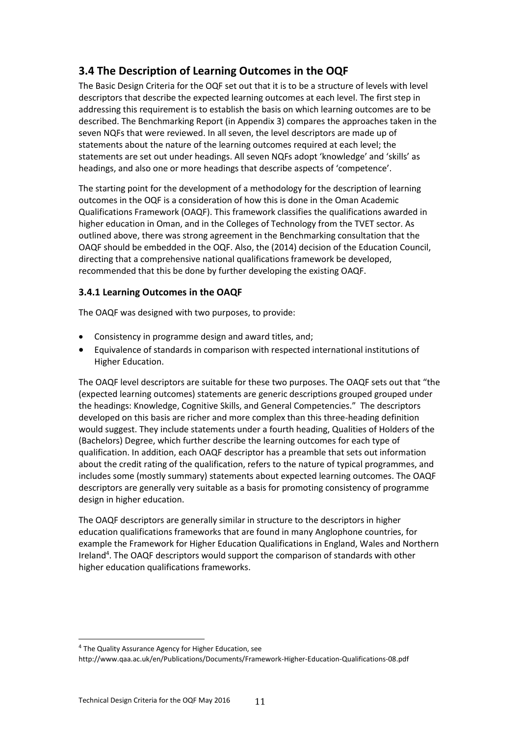## <span id="page-10-0"></span>**3.4 The Description of Learning Outcomes in the OQF**

The Basic Design Criteria for the OQF set out that it is to be a structure of levels with level descriptors that describe the expected learning outcomes at each level. The first step in addressing this requirement is to establish the basis on which learning outcomes are to be described. The Benchmarking Report (in Appendix 3) compares the approaches taken in the seven NQFs that were reviewed. In all seven, the level descriptors are made up of statements about the nature of the learning outcomes required at each level; the statements are set out under headings. All seven NQFs adopt 'knowledge' and 'skills' as headings, and also one or more headings that describe aspects of 'competence'.

The starting point for the development of a methodology for the description of learning outcomes in the OQF is a consideration of how this is done in the Oman Academic Qualifications Framework (OAQF). This framework classifies the qualifications awarded in higher education in Oman, and in the Colleges of Technology from the TVET sector. As outlined above, there was strong agreement in the Benchmarking consultation that the OAQF should be embedded in the OQF. Also, the (2014) decision of the Education Council, directing that a comprehensive national qualifications framework be developed, recommended that this be done by further developing the existing OAQF.

### **3.4.1 Learning Outcomes in the OAQF**

The OAQF was designed with two purposes, to provide:

- Consistency in programme design and award titles, and;
- Equivalence of standards in comparison with respected international institutions of Higher Education.

The OAQF level descriptors are suitable for these two purposes. The OAQF sets out that "the (expected learning outcomes) statements are generic descriptions grouped grouped under the headings: Knowledge, Cognitive Skills, and General Competencies." The descriptors developed on this basis are richer and more complex than this three-heading definition would suggest. They include statements under a fourth heading, Qualities of Holders of the (Bachelors) Degree, which further describe the learning outcomes for each type of qualification. In addition, each OAQF descriptor has a preamble that sets out information about the credit rating of the qualification, refers to the nature of typical programmes, and includes some (mostly summary) statements about expected learning outcomes. The OAQF descriptors are generally very suitable as a basis for promoting consistency of programme design in higher education.

The OAQF descriptors are generally similar in structure to the descriptors in higher education qualifications frameworks that are found in many Anglophone countries, for example the Framework for Higher Education Qualifications in England, Wales and Northern Ireland<sup>4</sup>. The OAQF descriptors would support the comparison of standards with other higher education qualifications frameworks.

l

<sup>&</sup>lt;sup>4</sup> The Quality Assurance Agency for Higher Education, see

http://www.qaa.ac.uk/en/Publications/Documents/Framework-Higher-Education-Qualifications-08.pdf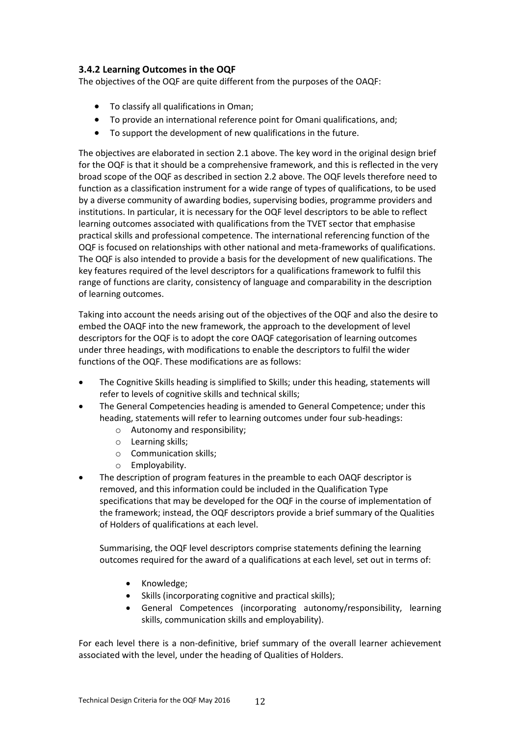### **3.4.2 Learning Outcomes in the OQF**

The objectives of the OQF are quite different from the purposes of the OAQF:

- To classify all qualifications in Oman;
- To provide an international reference point for Omani qualifications, and;
- To support the development of new qualifications in the future.

The objectives are elaborated in section 2.1 above. The key word in the original design brief for the OQF is that it should be a comprehensive framework, and this is reflected in the very broad scope of the OQF as described in section 2.2 above. The OQF levels therefore need to function as a classification instrument for a wide range of types of qualifications, to be used by a diverse community of awarding bodies, supervising bodies, programme providers and institutions. In particular, it is necessary for the OQF level descriptors to be able to reflect learning outcomes associated with qualifications from the TVET sector that emphasise practical skills and professional competence. The international referencing function of the OQF is focused on relationships with other national and meta-frameworks of qualifications. The OQF is also intended to provide a basis for the development of new qualifications. The key features required of the level descriptors for a qualifications framework to fulfil this range of functions are clarity, consistency of language and comparability in the description of learning outcomes.

Taking into account the needs arising out of the objectives of the OQF and also the desire to embed the OAQF into the new framework, the approach to the development of level descriptors for the OQF is to adopt the core OAQF categorisation of learning outcomes under three headings, with modifications to enable the descriptors to fulfil the wider functions of the OQF. These modifications are as follows:

- The Cognitive Skills heading is simplified to Skills; under this heading, statements will refer to levels of cognitive skills and technical skills;
- The General Competencies heading is amended to General Competence; under this heading, statements will refer to learning outcomes under four sub-headings:
	- o Autonomy and responsibility;
	- o Learning skills;
	- o Communication skills;
	- o Employability.
- The description of program features in the preamble to each OAQF descriptor is removed, and this information could be included in the Qualification Type specifications that may be developed for the OQF in the course of implementation of the framework; instead, the OQF descriptors provide a brief summary of the Qualities of Holders of qualifications at each level.

Summarising, the OQF level descriptors comprise statements defining the learning outcomes required for the award of a qualifications at each level, set out in terms of:

- Knowledge;
- Skills (incorporating cognitive and practical skills);
- General Competences (incorporating autonomy/responsibility, learning skills, communication skills and employability).

For each level there is a non-definitive, brief summary of the overall learner achievement associated with the level, under the heading of Qualities of Holders.